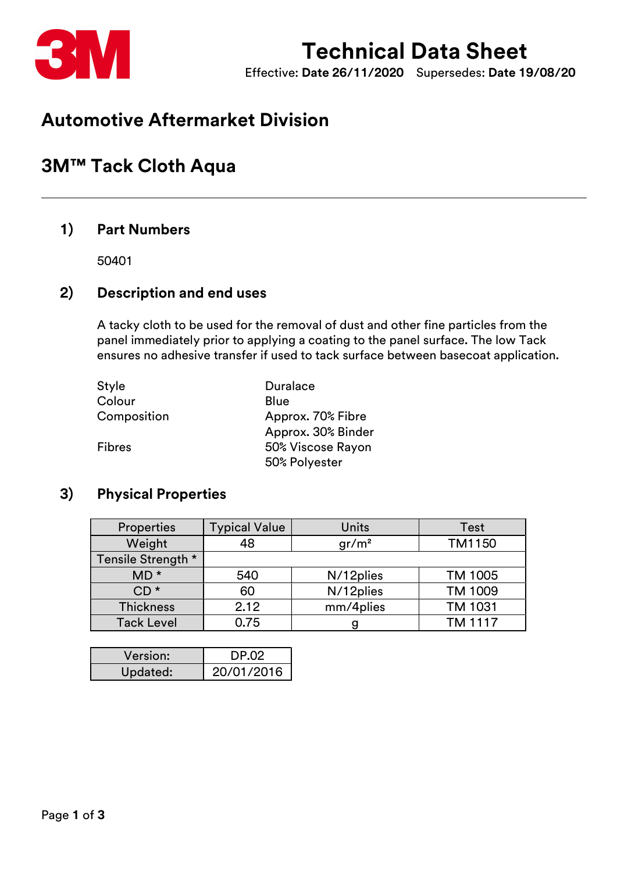

# Technical Data Sheet

Effective: Date 26/11/2020 Supersedes: Date 19/08/20

# Automotive Aftermarket Division

# 3M™ Tack Cloth Aqua

### 1) Part Numbers

50401

## 2) Description and end uses

A tacky cloth to be used for the removal of dust and other fine particles from the panel immediately prior to applying a coating to the panel surface. The low Tack ensures no adhesive transfer if used to tack surface between basecoat application.

| Style       | <b>Duralace</b>    |  |
|-------------|--------------------|--|
| Colour      | Blue               |  |
| Composition | Approx. 70% Fibre  |  |
|             | Approx. 30% Binder |  |
| Fibres      | 50% Viscose Rayon  |  |
|             | 50% Polyester      |  |

## 3) Physical Properties

| <b>Properties</b>  | <b>Typical Value</b> | Units             | Test           |
|--------------------|----------------------|-------------------|----------------|
| Weight             | 48                   | gr/m <sup>2</sup> | TM1150         |
| Tensile Strength * |                      |                   |                |
| $MD$ *             | 540                  | N/12plies         | TM 1005        |
| $CD*$              | 60                   | N/12plies         | TM 1009        |
| <b>Thickness</b>   | 2.12                 | mm/4plies         | <b>TM 1031</b> |
| <b>Tack Level</b>  | 0.75                 |                   | <b>TM 1117</b> |

| Version: | DP.02      |
|----------|------------|
| Updated: | 20/01/2016 |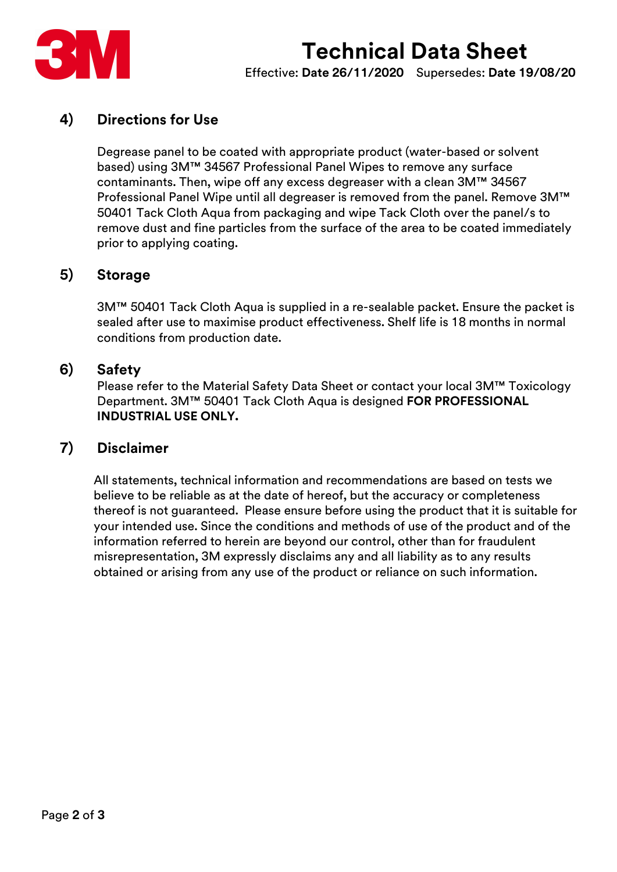



Effective: Date 26/11/2020 Supersedes: Date 19/08/20

## 4) Directions for Use

Degrease panel to be coated with appropriate product (water-based or solvent based) using 3M™ 34567 Professional Panel Wipes to remove any surface contaminants. Then, wipe off any excess degreaser with a clean 3M™ 34567 Professional Panel Wipe until all degreaser is removed from the panel. Remove 3M™ 50401 Tack Cloth Aqua from packaging and wipe Tack Cloth over the panel/s to remove dust and fine particles from the surface of the area to be coated immediately prior to applying coating.

#### 5) Storage

3M™ 50401 Tack Cloth Aqua is supplied in a re-sealable packet. Ensure the packet is sealed after use to maximise product effectiveness. Shelf life is 18 months in normal conditions from production date.

#### 6) Safety

Please refer to the Material Safety Data Sheet or contact your local 3M™ Toxicology Department. 3M™ 50401 Tack Cloth Aqua is designed FOR PROFESSIONAL INDUSTRIAL USE ONLY.

#### 7) Disclaimer

All statements, technical information and recommendations are based on tests we believe to be reliable as at the date of hereof, but the accuracy or completeness thereof is not guaranteed. Please ensure before using the product that it is suitable for your intended use. Since the conditions and methods of use of the product and of the information referred to herein are beyond our control, other than for fraudulent misrepresentation, 3M expressly disclaims any and all liability as to any results obtained or arising from any use of the product or reliance on such information.